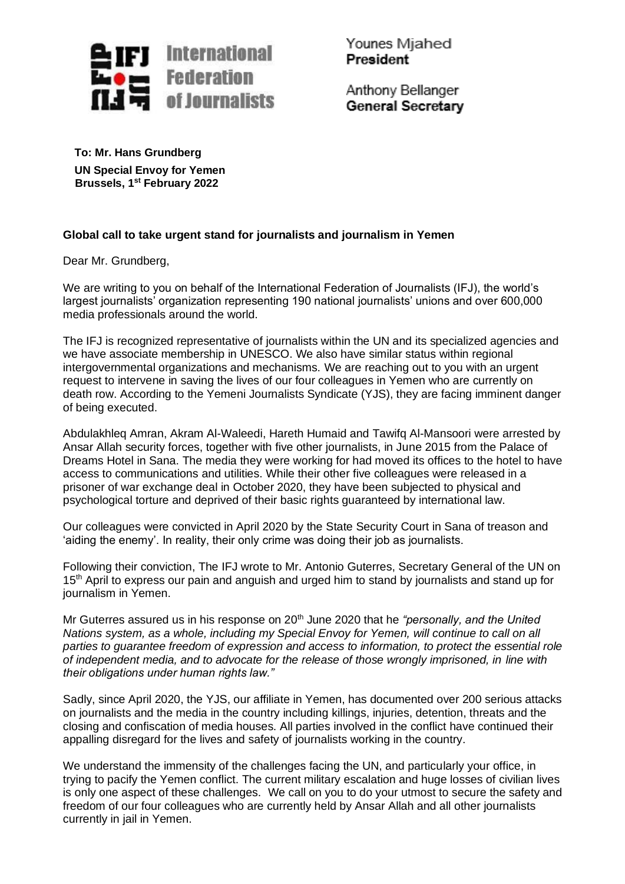

Younes Miahed **President** 

Anthony Bellanger **General Secretary** 

**To: Mr. Hans Grundberg UN Special Envoy for Yemen Brussels, 1 st February 2022**

## **Global call to take urgent stand for journalists and journalism in Yemen**

Dear Mr. Grundberg,

We are writing to you on behalf of the International Federation of Journalists (IFJ), the world's largest journalists' organization representing 190 national journalists' unions and over 600,000 media professionals around the world.

The IFJ is recognized representative of journalists within the UN and its specialized agencies and we have associate membership in UNESCO. We also have similar status within regional intergovernmental organizations and mechanisms. We are reaching out to you with an urgent request to intervene in saving the lives of our four colleagues in Yemen who are currently on death row. According to the Yemeni Journalists Syndicate (YJS), they are facing imminent danger of being executed.

Abdulakhleq Amran, Akram Al-Waleedi, Hareth Humaid and Tawifq Al-Mansoori were arrested by Ansar Allah security forces, together with five other journalists, in June 2015 from the Palace of Dreams Hotel in Sana. The media they were working for had moved its offices to the hotel to have access to communications and utilities. While their other five colleagues were released in a prisoner of war exchange deal in October 2020, they have been subjected to physical and psychological torture and deprived of their basic rights guaranteed by international law.

Our colleagues were convicted in April 2020 by the State Security Court in Sana of treason and 'aiding the enemy'. In reality, their only crime was doing their job as journalists.

Following their conviction, The IFJ wrote to Mr. Antonio Guterres, Secretary General of the UN on 15<sup>th</sup> April to express our pain and anguish and urged him to stand by journalists and stand up for journalism in Yemen.

Mr Guterres assured us in his response on 20<sup>th</sup> June 2020 that he *"personally, and the United*" *Nations system, as a whole, including my Special Envoy for Yemen, will continue to call on all parties to guarantee freedom of expression and access to information, to protect the essential role of independent media, and to advocate for the release of those wrongly imprisoned, in line with their obligations under human rights law."*

Sadly, since April 2020, the YJS, our affiliate in Yemen, has documented over 200 serious attacks on journalists and the media in the country including killings, injuries, detention, threats and the closing and confiscation of media houses. All parties involved in the conflict have continued their appalling disregard for the lives and safety of journalists working in the country.

We understand the immensity of the challenges facing the UN, and particularly your office, in trying to pacify the Yemen conflict. The current military escalation and huge losses of civilian lives is only one aspect of these challenges. We call on you to do your utmost to secure the safety and freedom of our four colleagues who are currently held by Ansar Allah and all other journalists currently in jail in Yemen.